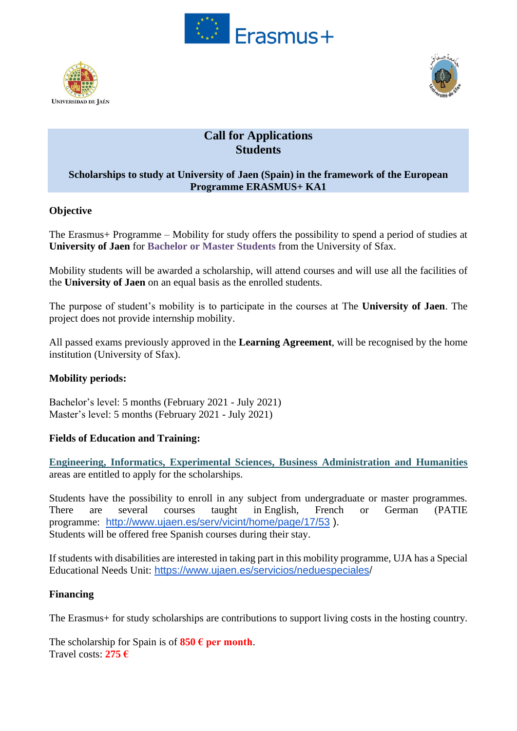





# **Call for Applications Students**

### **Scholarships to study at University of Jaen (Spain) in the framework of the European Programme ERASMUS+ KA1**

# **Objective**

The Erasmus+ Programme – Mobility for study offers the possibility to spend a period of studies at **University of Jaen** for **Bachelor or Master Students** from the University of Sfax.

Mobility students will be awarded a scholarship, will attend courses and will use all the facilities of the **University of Jaen** on an equal basis as the enrolled students.

The purpose of student's mobility is to participate in the courses at The **University of Jaen**. The project does not provide internship mobility.

All passed exams previously approved in the **Learning Agreement**, will be recognised by the home institution (University of Sfax).

# **Mobility periods:**

Bachelor's level: 5 months (February 2021 - July 2021) Master's level: 5 months (February 2021 - July 2021)

# **Fields of Education and Training:**

**Engineering, Informatics, Experimental Sciences, Business Administration and Humanities** areas are entitled to apply for the scholarships.

Students have the possibility to enroll in any subject from undergraduate or master programmes. There are several courses taught in English, French or German (PATIE programme: <http://www.ujaen.es/serv/vicint/home/page/17/53> ). Students will be offered free Spanish courses during their stay.

If students with disabilities are interested in taking part in this mobility programme, UJA has a Special Educational Needs Unit: <https://www.ujaen.es/servicios/neduespeciales/>

### **Financing**

The Erasmus+ for study scholarships are contributions to support living costs in the hosting country.

The scholarship for Spain is of  $850 \text{ } \in \text{per month.}$ Travel costs: **275 €**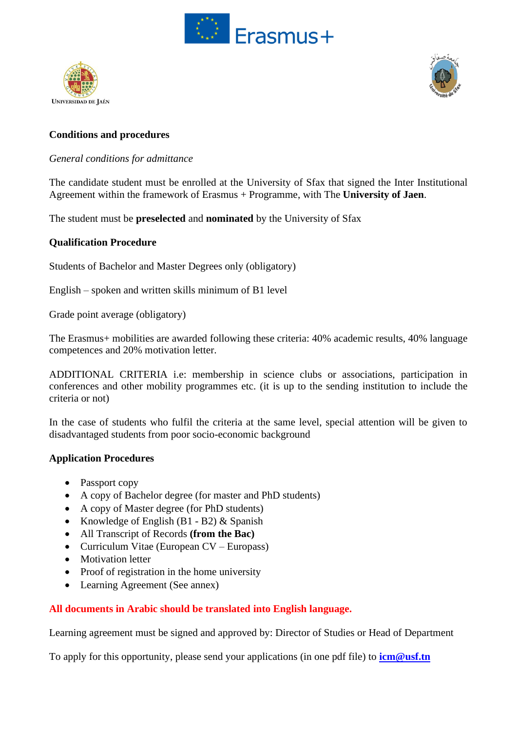





# **Conditions and procedures**

### *General conditions for admittance*

The candidate student must be enrolled at the University of Sfax that signed the Inter Institutional Agreement within the framework of Erasmus + Programme, with The **University of Jaen**.

The student must be **preselected** and **nominated** by the University of Sfax

### **Qualification Procedure**

Students of Bachelor and Master Degrees only (obligatory)

English – spoken and written skills minimum of B1 level

Grade point average (obligatory)

The Erasmus+ mobilities are awarded following these criteria: 40% academic results, 40% language competences and 20% motivation letter.

ADDITIONAL CRITERIA i.e: membership in science clubs or associations, participation in conferences and other mobility programmes etc. (it is up to the sending institution to include the criteria or not)

In the case of students who fulfil the criteria at the same level, special attention will be given to disadvantaged students from poor socio-economic background

### **Application Procedures**

- Passport copy
- A copy of Bachelor degree (for master and PhD students)
- A copy of Master degree (for PhD students)
- Knowledge of English  $(B1 B2)$  & Spanish
- All Transcript of Records **(from the Bac)**
- Curriculum Vitae (European CV Europass)
- Motivation letter
- Proof of registration in the home university
- Learning Agreement (See annex)

# **All documents in Arabic should be translated into English language.**

Learning agreement must be signed and approved by: Director of Studies or Head of Department

To apply for this opportunity, please send your applications (in one pdf file) to **[icm@usf.tn](mailto:icm@usf.tn)**